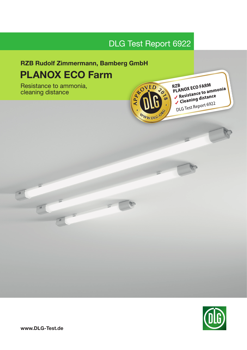# DLG Test Report 6922

# RZB Rudolf Zimmermann, Bamberg GmbH PLANOX ECO Farm PLANOX ECO Farm

Resistance to ammonia, cleaning distance



 $-600$ 

RZB<br>PLANOX ECO FARM RZB<br>PLANOX ECO FARM<br>✓ Resistance to ammonia Resistance to annually<br>Cleaning distance DLG Test Report 6922



 $\boxed{\text{B}^3}$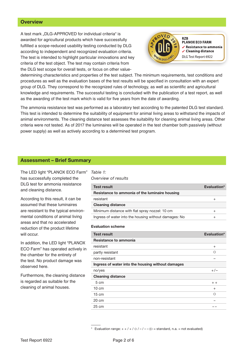## **Overview**

A test mark ..DLG-APPROVED for individual criteria" is awarded for agricultural products which have successfully fulfilled a scope-reduced usability testing conducted by DLG according to independent and recognized evaluation criteria. The test is intended to highlight particular innovations and key criteria of the test object. The test may contain criteria from the DLG test scope for overall tests, or focus on other value-



**PLANOX ECO FARM**  $\checkmark$  Resistance to ammonia ✓ Cleaning distance DLG Test Report 6922

determining characteristics and properties of the test subject. The minimum requirements, test conditions and procedures as well as the evaluation bases of the test results will be specified in consultation with an expert group of DLG. They correspond to the recognized rules of technology, as well as scientific and agricultural knowledge and requirements. The successful testing is concluded with the publication of a test report, as well as the awarding of the test mark which is valid for five years from the date of awarding.

The ammonia resistance test was performed as a laboratory test according to the patented DLG test standard. This test is intended to determine the suitability of equipment for animal living areas to withstand the impacts of animal environments. The cleaning distance test assesses the suitability for cleaning animal living areas. Other criteria were not tested. As of 2017 the luminaires will be operated in the test chamber both passively (without power supply) as well as actively according to a determined test program.

## Assessment – Brief Summary

The LED light "PLANOX ECO Farm" has successfully completed the DLG test for ammonia resistance and cleaning distance.

According to this result, it can be assumed that these luminaires are resistant to the typical environmental conditions of animal living areas and that no accelerated reduction of the product lifetime will occur.

In addition, the LED light "PLANOX ECO Farm" has operated actively in the chamber for the entirety of the test. No product damage was observed here.

Furthermore, the cleaning distance is regarded as suitable for the cleaning of animal houses.

#### *Table 1: Overview of results*

| <b>Test result</b>                                    | Evaluation* |
|-------------------------------------------------------|-------------|
| Resistance to ammonia of the luminaire housing        |             |
| resistant                                             |             |
| <b>Cleaning distance</b>                              |             |
| Minimum distance with flat spray nozzel: 10 cm        |             |
| Ingress of water into the housing without damages: No |             |

#### Evaluation scheme

| <b>Test result</b>                                | Evaluation* |
|---------------------------------------------------|-------------|
| Resistance to ammonia                             |             |
| resistant                                         | $^{+}$      |
| partly resistant                                  | ◯           |
| non-resistant                                     |             |
| Ingress of water into the housing without damages |             |
| no/yes                                            | $+/-$       |
| <b>Cleaning distance</b>                          |             |
| 5 cm                                              | $+ +$       |
| $10 \text{ cm}$                                   | $^{+}$      |
| $15 \text{ cm}$                                   | $\Omega$    |
| $20 \text{ cm}$                                   |             |
| $25 \text{ cm}$                                   |             |

Evaluation range:  $+ + / + / \circ / - / - -$  ( $\circ$  = standard, n.a. = not evaluated)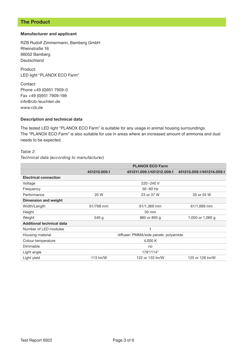# The Product

#### Manufacturer and applicant

RZB Rudolf Zimmermann, Bamberg GmbH Rheinstraße 16 96052 Bamberg Deutschland

Product: LED light "PLANOX ECO Farm"

Contact: Phone +49 (0)951 7909-0 Fax +49 (0)951 7909-198 info@rzb-leuchten.de www.rzb.de

## Description and technical data

The tested LED light "PLANOX ECO Farm" is suitable for any usage in animal housing surroundings. The "PLANOX ECO Farm" is also suitable for use in areas where an increased amount of ammonia and dust needs to be expected.

#### *Table 2:*

## *Technical data (according to manufacturer)*

|                                  | <b>PLANOX ECO Farm</b>                |                           |                           |
|----------------------------------|---------------------------------------|---------------------------|---------------------------|
|                                  | 451210,009.1                          | 451211.009.1/451212.009.1 | 451213.009.1/451214.009.1 |
| <b>Electrical connection</b>     |                                       |                           |                           |
| Voltage                          |                                       | 220-240 V                 |                           |
| Frequency                        |                                       | $50 - 60$ Hz              |                           |
| Performance                      | 20 W                                  | 23 or 37 W                | 33 or 55 W                |
| Dimension and weight             |                                       |                           |                           |
| Width/Length                     | 61/768 mm                             | 61/1,369 mm               | 61/1,669 mm               |
| Height                           |                                       | 50 mm                     |                           |
| Weight                           | 540 g                                 | 885 or 895 g              | 1,050 or 1,060 g          |
| <b>Additional technical data</b> |                                       |                           |                           |
| Number of LED modules            |                                       |                           |                           |
| Housing material                 | diffuser: PMMA/side panels: polyamide |                           |                           |
| Colour temperature               | 4,000 K                               |                           |                           |
| Dimmable                         | no                                    |                           |                           |
| Light angle                      | 179°/114°                             |                           |                           |
| Light yield                      | 113 $Im/W$                            | 122 or 133 lm/W           | 125 or 128 lm/W           |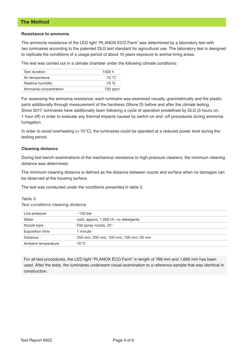## The Method

#### Resistance to ammonia

The ammonia resistance of the LED light "PLANOX ECO Farm" was determined by a laboratory test with two luminaires according to the patented DLG test standard for agricultural use. The laboratory test is designed to replicate the conditions of a usage period of about 10 years exposure to animal living areas.

The test was carried out in a climate chamber under the following climate conditions:

| Test duration         | 1500 h  |
|-----------------------|---------|
| Air temperature       | 70 °C   |
| Relative humidity     | 70 %    |
| Ammonia concentration | 750 ppm |

For assessing the ammonia resistance, each luminaire was examined visually, gravimetrically and the plastic parts additionally through measurement of the hardness (Shore D) before and after the climate testing. Since 2017, luminaires have additionally been following a cycle of operation predefined by DLG (3 hours on, 1 hour off) in order to eveluate any thermal impacts caused by switch-on and -off procedures during ammonia fumigation.

In order to avoid overheating  $(> 70 °C)$ , the luminaires could be operated at a reduced power level during the testing period.

### Cleaning distance

During test bench examinations of the mechanical resistance to high-pressure cleaners, the minimum cleaning distance was determined.

The minimum cleaning distance is defined as the distance between nozzle and surface when no damages can be observed at the housing surface.

The test was conducted under the conditions presented in table 3.

#### *Table 3:*

*Test conditions cleaning distance*

| Line pressure          | $\sim$ 150 bar                         |
|------------------------|----------------------------------------|
| Water                  | cold, approx. 1,000 l/h, no detergents |
| Nozzle type            | Flat spray nozzle, 25°                 |
| <b>Exposition time</b> | 1 minute                               |
| Distance               | 250 mm, 200 mm, 150 mm, 100 mm, 50 mm  |
| Ambient temperature    | 10 °C                                  |

For all test procedures, the LED light "PLANOX ECO Farm" in length of 768 mm and 1,669 mm has been used. After the tests, the luminaires underwent visual examination to a reference sample that was identical in construction.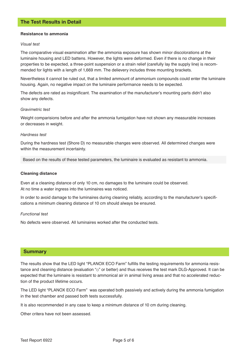#### Resistance to ammonia

#### *Visual test*

The comparative visual examination after the ammonia exposure has shown minor discolorations at the luminaire housing and LED battens. However, the lights were deformed. Even if there is no change in their properties to be expected, a three-point suspension or a strain relief (carefully lay the supply line) is recommended for lights with a length of 1,669 mm. The delievery includes three mounting brackets.

Nevertheless it cannot be ruled out, that a limited ammount of ammonium compounds could enter the luminaire housing. Again, no negative impact on the luminaire performance needs to be expected.

The defects are rated as insignificant. The examination of the manufacturer's mounting parts didn't also show any defects.

#### *Gravimetric test*

Weight comparisions before and after the ammonia fumigation have not shown any measurable increases or decreases in weight.

#### *Hardness test*

During the hardness test (Shore D) no measurable changes were observed. All determined changes were within the measurement incertainty.

Based on the results of these tested parameters, the luminaire is evaluated as resistant to ammonia.

#### Cleaning distance

Even at a cleaning distance of only 10 cm, no damages to the luminaire could be observed. At no time a water ingress into the luminaires was noticed.

In order to avoid damage to the luminaires during cleaning reliably, according to the manufacturer's specifications a minimum cleaning distance of 10 cm should always be ensured.

#### *Functional test*

No defects were observed. All luminaires worked after the conducted tests.

### Summary

The results show that the LED light "PLANOX ECO Farm" fulfills the testing requirements for ammonia resistance and cleaning distance (evaluation " $\circ$ " or better) and thus receives the test mark DLG-Approved. It can be expected that the luminaire is resistant to ammonical air in animal living areas and that no accelerated reduction of the product lifetime occurs.

The LED light "PLANOX ECO Farm" was operated both passively and actively during the ammonia fumigation in the test chamber and passed both tests successfully.

It is also recommended in any case to keep a minimum distance of 10 cm during cleaning.

Other critera have not been assessed.